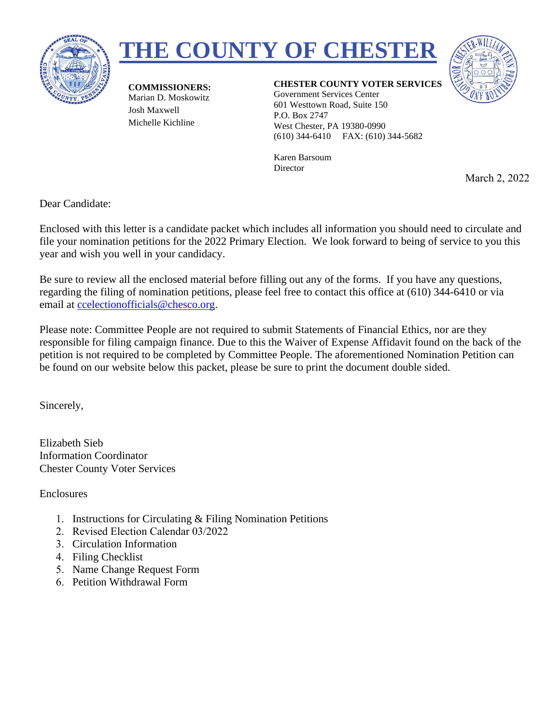





**COMMISSIONERS:** Marian D. Moskowitz Josh Maxwell Michelle Kichline

#### **CHESTER COUNTY VOTER SERVICES**

Government Services Center 601 Westtown Road, Suite 150 P.O. Box 2747 West Chester, PA 19380-0990 (610) 344-6410 FAX: (610) 344-5682

Karen Barsoum **Director** 

March 2, 2022

Dear Candidate:

Enclosed with this letter is a candidate packet which includes all information you should need to circulate and file your nomination petitions for the 2022 Primary Election. We look forward to being of service to you this year and wish you well in your candidacy.

Be sure to review all the enclosed material before filling out any of the forms. If you have any questions, regarding the filing of nomination petitions, please feel free to contact this office at (610) 344-6410 or via email at [ccelectionofficials@chesco.org.](mailto:ccelectionofficials@chesco.org)

Please note: Committee People are not required to submit Statements of Financial Ethics, nor are they responsible for filing campaign finance. Due to this the Waiver of Expense Affidavit found on the back of the petition is not required to be completed by Committee People. The aforementioned Nomination Petition can be found on our website below this packet, please be sure to print the document double sided.

Sincerely,

Elizabeth Sieb Information Coordinator Chester County Voter Services

Enclosures

- 1. Instructions for Circulating & Filing Nomination Petitions
- 2. Revised Election Calendar 03/2022
- 3. Circulation Information
- 4. Filing Checklist
- 5. Name Change Request Form
- 6. Petition Withdrawal Form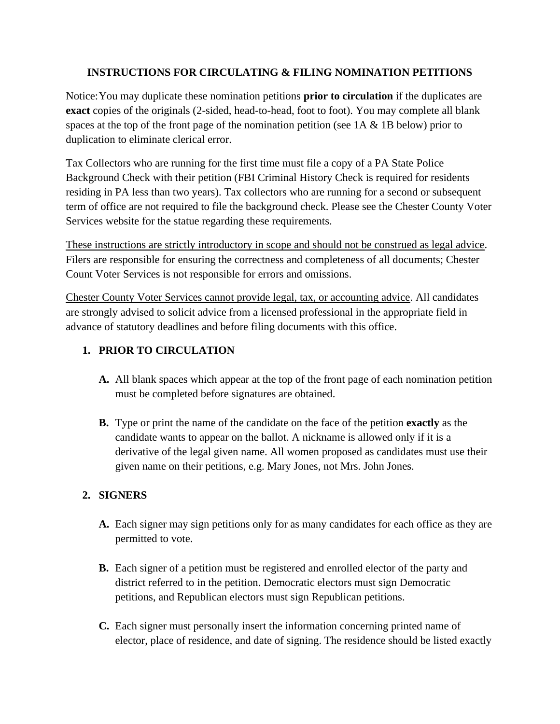## **INSTRUCTIONS FOR CIRCULATING & FILING NOMINATION PETITIONS**

Notice:You may duplicate these nomination petitions **prior to circulation** if the duplicates are **exact** copies of the originals (2-sided, head-to-head, foot to foot). You may complete all blank spaces at the top of the front page of the nomination petition (see 1A & 1B below) prior to duplication to eliminate clerical error.

Tax Collectors who are running for the first time must file a copy of a PA State Police Background Check with their petition (FBI Criminal History Check is required for residents residing in PA less than two years). Tax collectors who are running for a second or subsequent term of office are not required to file the background check. Please see the Chester County Voter Services website for the statue regarding these requirements.

These instructions are strictly introductory in scope and should not be construed as legal advice. Filers are responsible for ensuring the correctness and completeness of all documents; Chester Count Voter Services is not responsible for errors and omissions.

Chester County Voter Services cannot provide legal, tax, or accounting advice. All candidates are strongly advised to solicit advice from a licensed professional in the appropriate field in advance of statutory deadlines and before filing documents with this office.

# **1. PRIOR TO CIRCULATION**

- **A.** All blank spaces which appear at the top of the front page of each nomination petition must be completed before signatures are obtained.
- **B.** Type or print the name of the candidate on the face of the petition **exactly** as the candidate wants to appear on the ballot. A nickname is allowed only if it is a derivative of the legal given name. All women proposed as candidates must use their given name on their petitions, e.g. Mary Jones, not Mrs. John Jones.

# **2. SIGNERS**

- **A.** Each signer may sign petitions only for as many candidates for each office as they are permitted to vote.
- **B.** Each signer of a petition must be registered and enrolled elector of the party and district referred to in the petition. Democratic electors must sign Democratic petitions, and Republican electors must sign Republican petitions.
- **C.** Each signer must personally insert the information concerning printed name of elector, place of residence, and date of signing. The residence should be listed exactly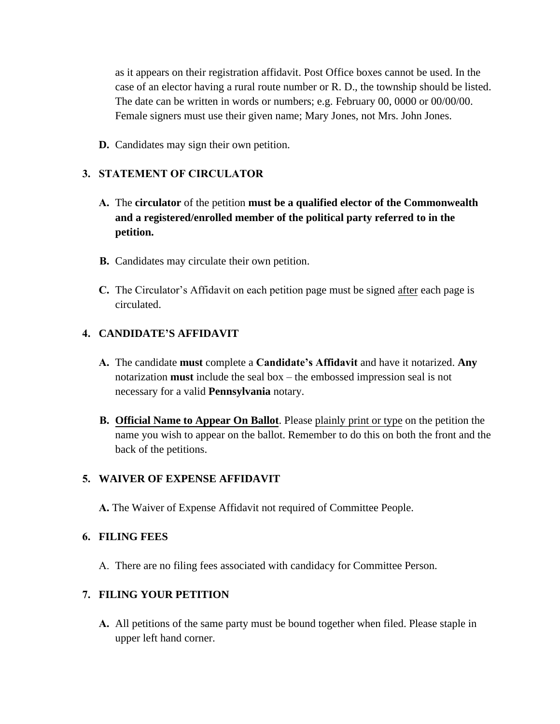as it appears on their registration affidavit. Post Office boxes cannot be used. In the case of an elector having a rural route number or R. D., the township should be listed. The date can be written in words or numbers; e.g. February 00, 0000 or 00/00/00. Female signers must use their given name; Mary Jones, not Mrs. John Jones.

**D.** Candidates may sign their own petition.

### **3. STATEMENT OF CIRCULATOR**

- **A.** The **circulator** of the petition **must be a qualified elector of the Commonwealth and a registered/enrolled member of the political party referred to in the petition.**
- **B.** Candidates may circulate their own petition.
- **C.** The Circulator's Affidavit on each petition page must be signed after each page is circulated.

### **4. CANDIDATE'S AFFIDAVIT**

- **A.** The candidate **must** complete a **Candidate's Affidavit** and have it notarized. **Any** notarization **must** include the seal box – the embossed impression seal is not necessary for a valid **Pennsylvania** notary.
- **B. Official Name to Appear On Ballot**. Please plainly print or type on the petition the name you wish to appear on the ballot. Remember to do this on both the front and the back of the petitions.

### **5. WAIVER OF EXPENSE AFFIDAVIT**

**A.** The Waiver of Expense Affidavit not required of Committee People.

#### **6. FILING FEES**

A. There are no filing fees associated with candidacy for Committee Person.

### **7. FILING YOUR PETITION**

**A.** All petitions of the same party must be bound together when filed. Please staple in upper left hand corner.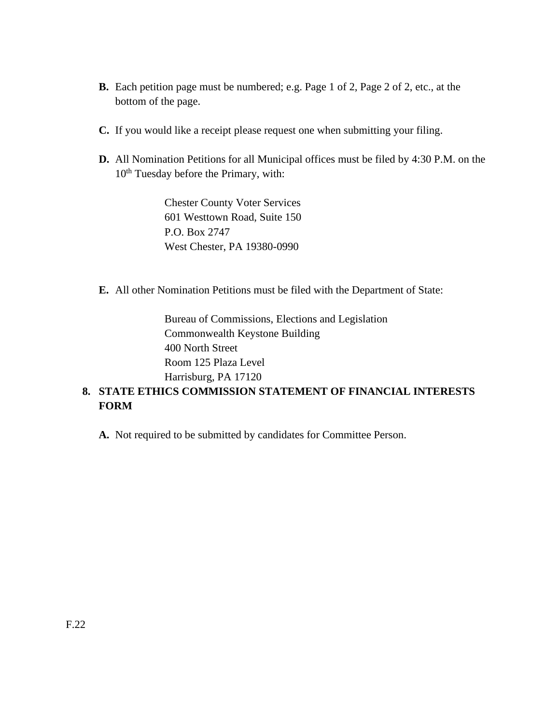- **B.** Each petition page must be numbered; e.g. Page 1 of 2, Page 2 of 2, etc., at the bottom of the page.
- **C.** If you would like a receipt please request one when submitting your filing.
- **D.** All Nomination Petitions for all Municipal offices must be filed by 4:30 P.M. on the 10<sup>th</sup> Tuesday before the Primary, with:

Chester County Voter Services 601 Westtown Road, Suite 150 P.O. Box 2747 West Chester, PA 19380-0990

**E.** All other Nomination Petitions must be filed with the Department of State:

Bureau of Commissions, Elections and Legislation Commonwealth Keystone Building 400 North Street Room 125 Plaza Level Harrisburg, PA 17120

# **8. STATE ETHICS COMMISSION STATEMENT OF FINANCIAL INTERESTS FORM**

**A.** Not required to be submitted by candidates for Committee Person.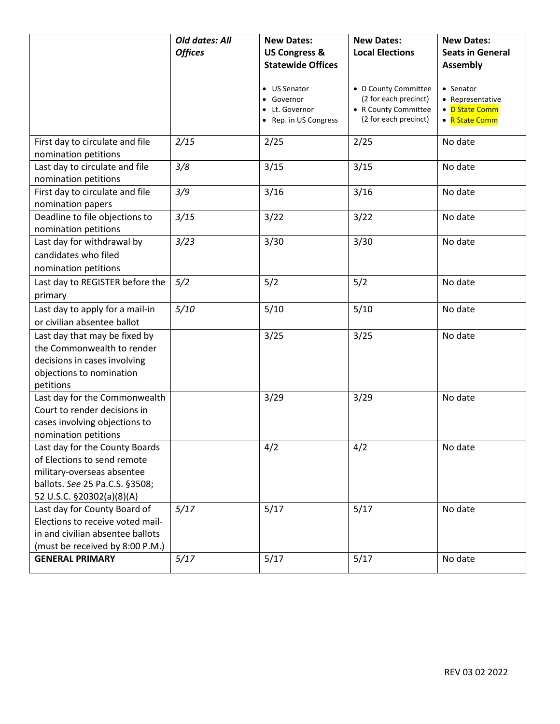|                                                        | Old dates: All | <b>New Dates:</b>                                                     | <b>New Dates:</b>                                                                              | <b>New Dates:</b>                                                 |
|--------------------------------------------------------|----------------|-----------------------------------------------------------------------|------------------------------------------------------------------------------------------------|-------------------------------------------------------------------|
|                                                        | <b>Offices</b> | <b>US Congress &amp;</b>                                              | <b>Local Elections</b>                                                                         | <b>Seats in General</b>                                           |
|                                                        |                | <b>Statewide Offices</b>                                              |                                                                                                | <b>Assembly</b>                                                   |
|                                                        |                | • US Senator<br>• Governor<br>• Lt. Governor<br>• Rep. in US Congress | • D County Committee<br>(2 for each precinct)<br>• R County Committee<br>(2 for each precinct) | • Senator<br>• Representative<br>• D State Comm<br>• R State Comm |
| First day to circulate and file                        | 2/15           | 2/25                                                                  | 2/25                                                                                           | No date                                                           |
| nomination petitions                                   |                |                                                                       |                                                                                                |                                                                   |
| Last day to circulate and file                         | 3/8            | 3/15                                                                  | 3/15                                                                                           | No date                                                           |
| nomination petitions                                   |                |                                                                       |                                                                                                |                                                                   |
| First day to circulate and file                        | 3/9            | 3/16                                                                  | 3/16                                                                                           | No date                                                           |
| nomination papers                                      |                |                                                                       |                                                                                                |                                                                   |
| Deadline to file objections to<br>nomination petitions | 3/15           | 3/22                                                                  | 3/22                                                                                           | No date                                                           |
| Last day for withdrawal by                             | 3/23           | 3/30                                                                  | 3/30                                                                                           | No date                                                           |
| candidates who filed                                   |                |                                                                       |                                                                                                |                                                                   |
| nomination petitions                                   |                |                                                                       |                                                                                                |                                                                   |
| Last day to REGISTER before the                        | 5/2            | 5/2                                                                   | 5/2                                                                                            | No date                                                           |
| primary                                                |                |                                                                       |                                                                                                |                                                                   |
| Last day to apply for a mail-in                        | 5/10           | 5/10                                                                  | 5/10                                                                                           | No date                                                           |
| or civilian absentee ballot                            |                |                                                                       |                                                                                                |                                                                   |
| Last day that may be fixed by                          |                | 3/25                                                                  | 3/25                                                                                           | No date                                                           |
| the Commonwealth to render                             |                |                                                                       |                                                                                                |                                                                   |
| decisions in cases involving                           |                |                                                                       |                                                                                                |                                                                   |
| objections to nomination                               |                |                                                                       |                                                                                                |                                                                   |
| petitions                                              |                |                                                                       |                                                                                                |                                                                   |
| Last day for the Commonwealth                          |                | 3/29                                                                  | 3/29                                                                                           | No date                                                           |
| Court to render decisions in                           |                |                                                                       |                                                                                                |                                                                   |
| cases involving objections to                          |                |                                                                       |                                                                                                |                                                                   |
| nomination petitions                                   |                |                                                                       |                                                                                                |                                                                   |
| Last day for the County Boards                         |                | 4/2                                                                   | 4/2                                                                                            | No date                                                           |
| of Elections to send remote                            |                |                                                                       |                                                                                                |                                                                   |
| military-overseas absentee                             |                |                                                                       |                                                                                                |                                                                   |
| ballots. See 25 Pa.C.S. §3508;                         |                |                                                                       |                                                                                                |                                                                   |
| 52 U.S.C. §20302(a)(8)(A)                              |                |                                                                       |                                                                                                |                                                                   |
| Last day for County Board of                           | 5/17           | 5/17                                                                  | 5/17                                                                                           | No date                                                           |
| Elections to receive voted mail-                       |                |                                                                       |                                                                                                |                                                                   |
| in and civilian absentee ballots                       |                |                                                                       |                                                                                                |                                                                   |
| (must be received by 8:00 P.M.)                        |                |                                                                       |                                                                                                |                                                                   |
| <b>GENERAL PRIMARY</b>                                 | 5/17           | 5/17                                                                  | 5/17                                                                                           | No date                                                           |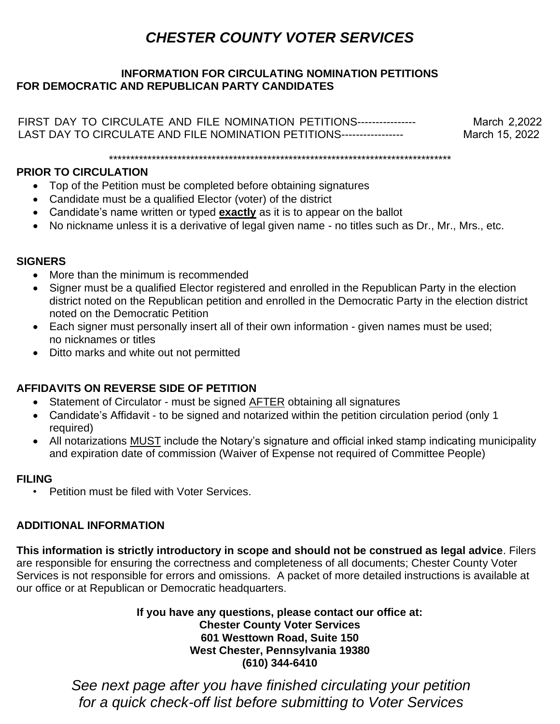# *CHESTER COUNTY VOTER SERVICES*

## **INFORMATION FOR CIRCULATING NOMINATION PETITIONS FOR DEMOCRATIC AND REPUBLICAN PARTY CANDIDATES**

FIRST DAY TO CIRCULATE AND FILE NOMINATION PETITIONS----------------- March 2,2022<br>LAST DAY TO CIRCULATE AND FILE NOMINATION PETITIONS------------------- March 15, 2022 LAST DAY TO CIRCULATE AND FILE NOMINATION PETITIONS-----------------

\*\*\*\*\*\*\*\*\*\*\*\*\*\*\*\*\*\*\*\*\*\*\*\*\*\*\*\*\*\*\*\*\*\*\*\*\*\*\*\*\*\*\*\*\*\*\*\*\*\*\*\*\*\*\*\*\*\*\*\*\*\*\*\*\*\*\*\*\*\*\*\*\*\*\*\*\*\*\*\*

## **PRIOR TO CIRCULATION**

- Top of the Petition must be completed before obtaining signatures
- Candidate must be a qualified Elector (voter) of the district
- Candidate's name written or typed **exactly** as it is to appear on the ballot
- No nickname unless it is a derivative of legal given name no titles such as Dr., Mr., Mrs., etc.

## **SIGNERS**

- More than the minimum is recommended
- Signer must be a qualified Elector registered and enrolled in the Republican Party in the election district noted on the Republican petition and enrolled in the Democratic Party in the election district noted on the Democratic Petition
- Each signer must personally insert all of their own information given names must be used; no nicknames or titles
- Ditto marks and white out not permitted

# **AFFIDAVITS ON REVERSE SIDE OF PETITION**

- Statement of Circulator must be signed **AFTER** obtaining all signatures
- Candidate's Affidavit to be signed and notarized within the petition circulation period (only 1 required)
- All notarizations MUST include the Notary's signature and official inked stamp indicating municipality and expiration date of commission (Waiver of Expense not required of Committee People)

# **FILING**

• Petition must be filed with Voter Services.

# **ADDITIONAL INFORMATION**

**This information is strictly introductory in scope and should not be construed as legal advice**. Filers are responsible for ensuring the correctness and completeness of all documents; Chester County Voter Services is not responsible for errors and omissions. A packet of more detailed instructions is available at our office or at Republican or Democratic headquarters.

> **If you have any questions, please contact our office at: Chester County Voter Services 601 Westtown Road, Suite 150 West Chester, Pennsylvania 19380 (610) 344-6410**

1 *for a quick check-off list before submitting to Voter ServicesSee next page after you have finished circulating your petition*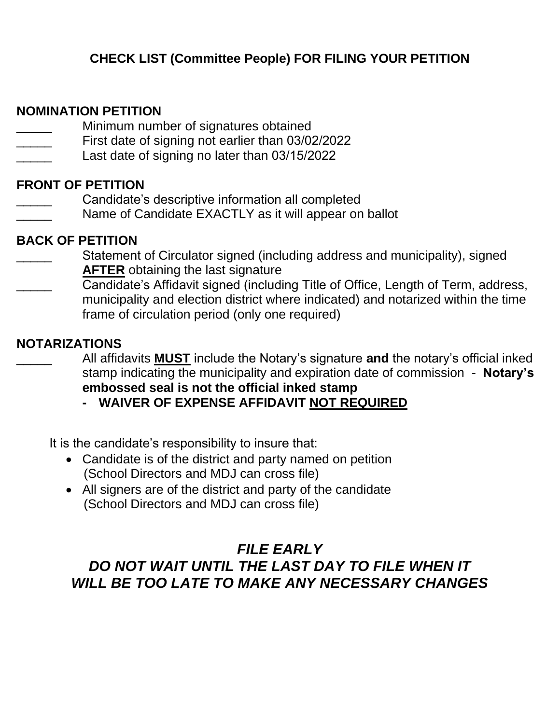# **NOMINATION PETITION**

- $\overline{\phantom{a}}$ Minimum number of signatures obtained
- \_\_\_\_\_ First date of signing not earlier than 03/02/2022
- \_\_\_\_\_ Last date of signing no later than 03/15/2022

# **FRONT OF PETITION**

- \_\_\_\_\_ Candidate's descriptive information all completed
- Name of Candidate EXACTLY as it will appear on ballot

# **BACK OF PETITION**

- $\overline{\phantom{a}}$ Statement of Circulator signed (including address and municipality), signed **AFTER** obtaining the last signature
- \_\_\_\_\_ Candidate's Affidavit signed (including Title of Office, Length of Term, address, municipality and election district where indicated) and notarized within the time frame of circulation period (only one required)

# **NOTARIZATIONS**

\_\_\_\_\_ All affidavits **MUST** include the Notary's signature **and** the notary's official inked stamp indicating the municipality and expiration date of commission - **Notary's embossed seal is not the official inked stamp**

**- WAIVER OF EXPENSE AFFIDAVIT NOT REQUIRED**

It is the candidate's responsibility to insure that:

- Candidate is of the district and party named on petition (School Directors and MDJ can cross file)
- All signers are of the district and party of the candidate (School Directors and MDJ can cross file)

# *FILE EARLY DO NOT WAIT UNTIL THE LAST DAY TO FILE WHEN IT WILL BE TOO LATE TO MAKE ANY NECESSARY CHANGES*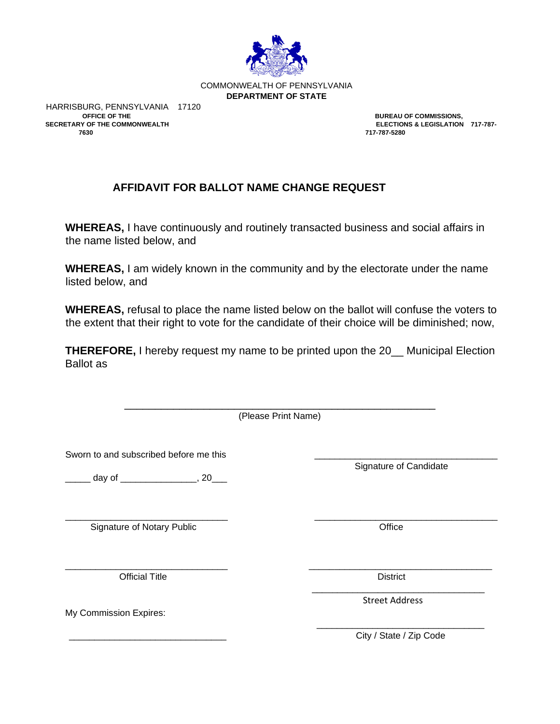

COMMONWEALTH OF PENNSYLVANIA **DEPARTMENT OF STATE**

HARRISBURG, PENNSYLVANIA 17120<br>OFFICE OF THE **SECRETARY OF THE COMMONWEALTH 7630 717-787-5280** 

**BUREAU OF COMMISSIONS,<br>ELECTIONS & LEGISLATION 717-787-**

# **AFFIDAVIT FOR BALLOT NAME CHANGE REQUEST**

**WHEREAS,** I have continuously and routinely transacted business and social affairs in the name listed below, and

**WHEREAS,** I am widely known in the community and by the electorate under the name listed below, and

**WHEREAS,** refusal to place the name listed below on the ballot will confuse the voters to the extent that their right to vote for the candidate of their choice will be diminished; now,

**THEREFORE,** I hereby request my name to be printed upon the 20\_\_ Municipal Election Ballot as

> \_\_\_\_\_\_\_\_\_\_\_\_\_\_\_\_\_\_\_\_\_\_\_\_\_\_\_\_\_\_\_\_\_\_\_\_\_\_\_\_\_\_\_\_\_\_\_\_\_\_\_ (Please Print Name)

\_\_\_\_\_\_\_\_\_\_\_\_\_\_\_\_\_\_\_\_\_\_\_\_\_\_\_\_\_\_\_\_ \_\_\_\_\_\_\_\_\_\_\_\_\_\_\_\_\_\_\_\_\_\_\_\_\_\_\_\_\_\_\_\_\_\_\_\_

\_\_\_\_\_\_\_\_\_\_\_\_\_\_\_\_\_\_\_\_\_\_\_\_\_\_\_\_\_\_\_\_ \_\_\_\_\_\_\_\_\_\_\_\_\_\_\_\_\_\_\_\_\_\_\_\_\_\_\_\_\_\_\_\_\_\_\_\_

Sworn to and subscribed before me this

\_\_\_\_\_ day of \_\_\_\_\_\_\_\_\_\_\_\_\_\_\_, 20\_\_\_

Signature of Notary Public **Contact Contact Contact Contact Contact Contact Contact Contact Contact Contact Contact Contact Contact Contact Contact Contact Contact Contact Contact Contact Contact Contact Contact Contact Co** 

Official Title **District** 

My Commission Expires:

Signature of Candidate

\_\_\_\_\_\_\_\_\_\_\_\_\_\_\_\_\_\_\_\_\_\_\_\_\_\_\_\_\_\_\_\_\_\_ Street Address

\_\_\_\_\_\_\_\_\_\_\_\_\_\_\_\_\_\_\_\_\_\_\_\_\_\_\_\_\_\_\_\_\_ City / State / Zip Code